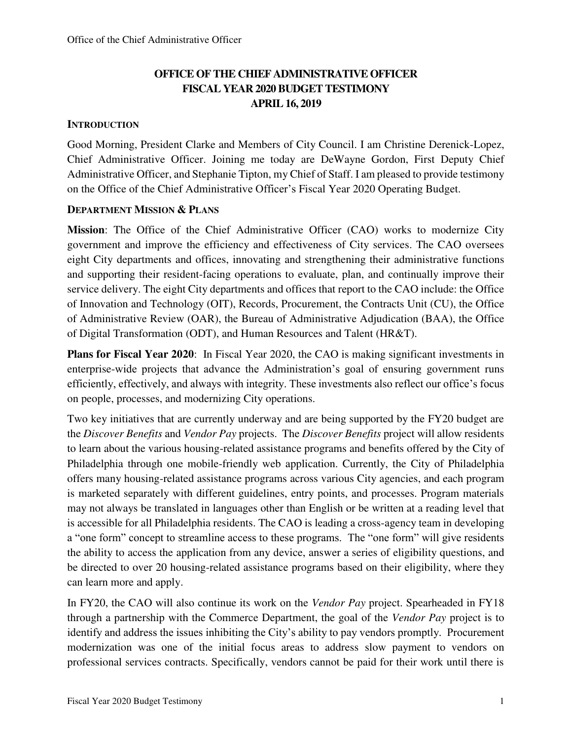# **OFFICE OF THE CHIEF ADMINISTRATIVE OFFICER FISCAL YEAR 2020 BUDGET TESTIMONY APRIL 16, 2019**

## **INTRODUCTION**

Good Morning, President Clarke and Members of City Council. I am Christine Derenick-Lopez, Chief Administrative Officer. Joining me today are DeWayne Gordon, First Deputy Chief Administrative Officer, and Stephanie Tipton, my Chief of Staff. I am pleased to provide testimony on the Office of the Chief Administrative Officer's Fiscal Year 2020 Operating Budget.

## **DEPARTMENT MISSION & PLANS**

**Mission**: The Office of the Chief Administrative Officer (CAO) works to modernize City government and improve the efficiency and effectiveness of City services. The CAO oversees eight City departments and offices, innovating and strengthening their administrative functions and supporting their resident-facing operations to evaluate, plan, and continually improve their service delivery. The eight City departments and offices that report to the CAO include: the Office of Innovation and Technology (OIT), Records, Procurement, the Contracts Unit (CU), the Office of Administrative Review (OAR), the Bureau of Administrative Adjudication (BAA), the Office of Digital Transformation (ODT), and Human Resources and Talent (HR&T).

**Plans for Fiscal Year 2020**: In Fiscal Year 2020, the CAO is making significant investments in enterprise-wide projects that advance the Administration's goal of ensuring government runs efficiently, effectively, and always with integrity. These investments also reflect our office's focus on people, processes, and modernizing City operations.

Two key initiatives that are currently underway and are being supported by the FY20 budget are the *Discover Benefits* and *Vendor Pay* projects. The *Discover Benefits* project will allow residents to learn about the various housing-related assistance programs and benefits offered by the City of Philadelphia through one mobile-friendly web application. Currently, the City of Philadelphia offers many housing-related assistance programs across various City agencies, and each program is marketed separately with different guidelines, entry points, and processes. Program materials may not always be translated in languages other than English or be written at a reading level that is accessible for all Philadelphia residents. The CAO is leading a cross-agency team in developing a "one form" concept to streamline access to these programs. The "one form" will give residents the ability to access the application from any device, answer a series of eligibility questions, and be directed to over 20 housing-related assistance programs based on their eligibility, where they can learn more and apply.

In FY20, the CAO will also continue its work on the *Vendor Pay* project. Spearheaded in FY18 through a partnership with the Commerce Department, the goal of the *Vendor Pay* project is to identify and address the issues inhibiting the City's ability to pay vendors promptly. Procurement modernization was one of the initial focus areas to address slow payment to vendors on professional services contracts. Specifically, vendors cannot be paid for their work until there is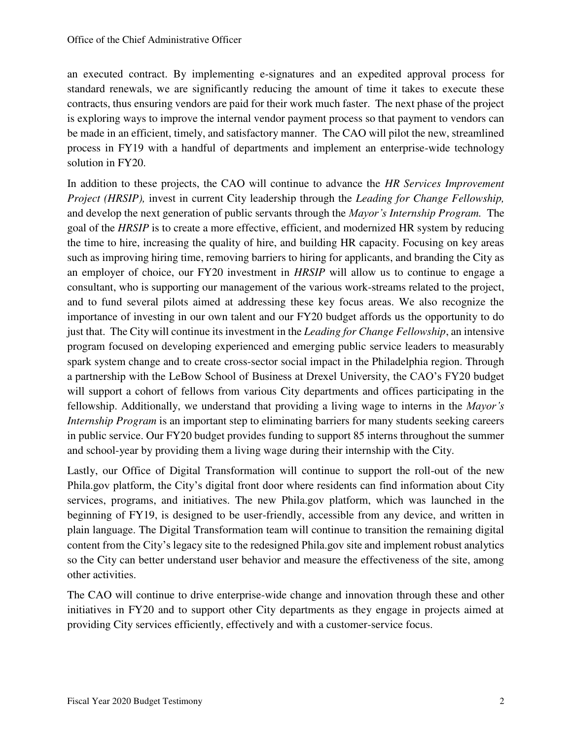an executed contract. By implementing e-signatures and an expedited approval process for standard renewals, we are significantly reducing the amount of time it takes to execute these contracts, thus ensuring vendors are paid for their work much faster. The next phase of the project is exploring ways to improve the internal vendor payment process so that payment to vendors can be made in an efficient, timely, and satisfactory manner. The CAO will pilot the new, streamlined process in FY19 with a handful of departments and implement an enterprise-wide technology solution in FY20.

In addition to these projects, the CAO will continue to advance the *HR Services Improvement Project (HRSIP),* invest in current City leadership through the *Leading for Change Fellowship,*  and develop the next generation of public servants through the *Mayor's Internship Program.* The goal of the *HRSIP* is to create a more effective, efficient, and modernized HR system by reducing the time to hire, increasing the quality of hire, and building HR capacity. Focusing on key areas such as improving hiring time, removing barriers to hiring for applicants, and branding the City as an employer of choice, our FY20 investment in *HRSIP* will allow us to continue to engage a consultant, who is supporting our management of the various work-streams related to the project, and to fund several pilots aimed at addressing these key focus areas. We also recognize the importance of investing in our own talent and our FY20 budget affords us the opportunity to do just that. The City will continue its investment in the *Leading for Change Fellowship*, an intensive program focused on developing experienced and emerging public service leaders to measurably spark system change and to create cross-sector social impact in the Philadelphia region. Through a partnership with the LeBow School of Business at Drexel University, the CAO's FY20 budget will support a cohort of fellows from various City departments and offices participating in the fellowship. Additionally, we understand that providing a living wage to interns in the *Mayor's Internship Program* is an important step to eliminating barriers for many students seeking careers in public service. Our FY20 budget provides funding to support 85 interns throughout the summer and school-year by providing them a living wage during their internship with the City.

Lastly, our Office of Digital Transformation will continue to support the roll-out of the new Phila.gov platform, the City's digital front door where residents can find information about City services, programs, and initiatives. The new Phila.gov platform, which was launched in the beginning of FY19, is designed to be user-friendly, accessible from any device, and written in plain language. The Digital Transformation team will continue to transition the remaining digital content from the City's legacy site to the redesigned Phila.gov site and implement robust analytics so the City can better understand user behavior and measure the effectiveness of the site, among other activities.

The CAO will continue to drive enterprise-wide change and innovation through these and other initiatives in FY20 and to support other City departments as they engage in projects aimed at providing City services efficiently, effectively and with a customer-service focus.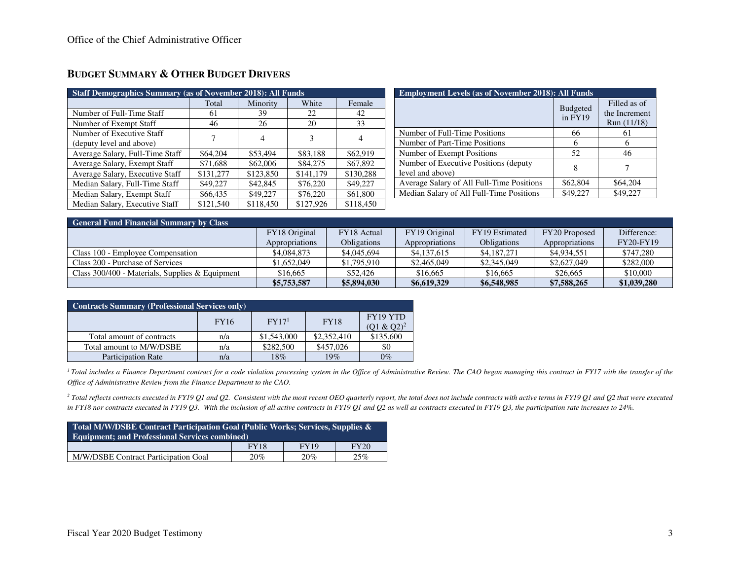| <b>Staff Demographics Summary (as of November 2018): All Funds</b> |                   |                |           |           |  |  |  |  |
|--------------------------------------------------------------------|-------------------|----------------|-----------|-----------|--|--|--|--|
|                                                                    | Total<br>Minority |                | White     | Female    |  |  |  |  |
| Number of Full-Time Staff                                          | 61                | 39             | 22        | 42        |  |  |  |  |
| Number of Exempt Staff                                             | 46                | 26             | 20        | 33        |  |  |  |  |
| Number of Executive Staff                                          | 7                 | $\overline{4}$ | 3         | 4         |  |  |  |  |
| (deputy level and above)                                           |                   |                |           |           |  |  |  |  |
| Average Salary, Full-Time Staff                                    | \$64,204          | \$53,494       | \$83,188  | \$62,919  |  |  |  |  |
| Average Salary, Exempt Staff                                       | \$71,688          | \$62,006       | \$84,275  | \$67,892  |  |  |  |  |
| Average Salary, Executive Staff                                    | \$131,277         | \$123,850      | \$141,179 | \$130,288 |  |  |  |  |
| Median Salary, Full-Time Staff                                     | \$49,227          | \$42,845       | \$76,220  | \$49,227  |  |  |  |  |
| Median Salary, Exempt Staff                                        | \$66,435          | \$49,227       | \$76,220  | \$61,800  |  |  |  |  |
| Median Salary, Executive Staff                                     | \$121,540         | \$118,450      | \$127,926 | \$118,450 |  |  |  |  |

## **BUDGET SUMMARY & OTHER BUDGET DRIVERS**

| <b>Employment Levels (as of November 2018): All Funds</b> |                            |                                              |  |  |  |  |  |
|-----------------------------------------------------------|----------------------------|----------------------------------------------|--|--|--|--|--|
|                                                           | <b>Budgeted</b><br>in FY19 | Filled as of<br>the Increment<br>Run (11/18) |  |  |  |  |  |
| Number of Full-Time Positions                             | 66                         | 61                                           |  |  |  |  |  |
| Number of Part-Time Positions                             | 6                          | 6                                            |  |  |  |  |  |
| Number of Exempt Positions                                | 52                         | 46                                           |  |  |  |  |  |
| Number of Executive Positions (deputy<br>level and above) | 8                          |                                              |  |  |  |  |  |
| Average Salary of All Full-Time Positions                 | \$62,804                   | \$64,204                                     |  |  |  |  |  |
| Median Salary of All Full-Time Positions                  | \$49,227                   | \$49,227                                     |  |  |  |  |  |

| <b>General Fund Financial Summary by Class</b>    |                |                    |                |                    |                |                  |  |  |  |  |
|---------------------------------------------------|----------------|--------------------|----------------|--------------------|----------------|------------------|--|--|--|--|
|                                                   | FY18 Original  | FY18 Actual        | FY19 Original  | FY19 Estimated     | FY20 Proposed  | Difference:      |  |  |  |  |
|                                                   | Appropriations | <b>Obligations</b> | Appropriations | <b>Obligations</b> | Appropriations | <b>FY20-FY19</b> |  |  |  |  |
| Class 100 - Employee Compensation                 | \$4,084,873    | \$4,045,694        | \$4,137,615    | \$4,187,271        | \$4,934,551    | \$747.280        |  |  |  |  |
| Class 200 - Purchase of Services                  | \$1,652,049    | \$1,795,910        | \$2,465,049    | \$2,345,049        | \$2,627,049    | \$282,000        |  |  |  |  |
| Class $300/400$ - Materials, Supplies & Equipment | \$16,665       | \$52,426           | \$16,665       | \$16,665           | \$26,665       | \$10,000         |  |  |  |  |
|                                                   | \$5,753,587    | \$5,894,030        | \$6,619,329    | \$6,548,985        | \$7,588,265    | \$1,039,280      |  |  |  |  |

| <b>Contracts Summary (Professional Services only)</b>                        |     |             |             |           |  |  |  |  |  |
|------------------------------------------------------------------------------|-----|-------------|-------------|-----------|--|--|--|--|--|
| FY19 YTD<br>FY17 <sup>1</sup><br><b>FY18</b><br><b>FY16</b><br>$(Q1 & Q2)^2$ |     |             |             |           |  |  |  |  |  |
| Total amount of contracts                                                    | n/a | \$1,543,000 | \$2,352,410 | \$135,600 |  |  |  |  |  |
| Total amount to M/W/DSBE                                                     | n/a | \$282,500   | \$457,026   | \$0       |  |  |  |  |  |
| <b>Participation Rate</b>                                                    | n/a | 18%         | 19%         | $0\%$     |  |  |  |  |  |

<sup>1</sup> Total includes a Finance Department contract for a code violation processing system in the Office of Administrative Review. The CAO began managing this contract in FY17 with the transfer of the *Office of Administrative Review from the Finance Department to the CAO.* 

<sup>2</sup> Total reflects contracts executed in FY19 Q1 and Q2. Consistent with the most recent OEO quarterly report, the total does not include contracts with active terms in FY19 Q1 and Q2 that were executed in FY18 nor contracts executed in FY19 O3. With the inclusion of all active contracts in FY19 O1 and O2 as well as contracts executed in FY19 O3, the participation rate increases to 24%.

| Total M/W/DSBE Contract Participation Goal (Public Works; Services, Supplies &<br><b>Equipment: and Professional Services combined)</b> |  |  |  |  |  |  |  |  |
|-----------------------------------------------------------------------------------------------------------------------------------------|--|--|--|--|--|--|--|--|
| FY19<br><b>FY20</b><br><b>FY18</b>                                                                                                      |  |  |  |  |  |  |  |  |
| M/W/DSBE Contract Participation Goal<br>20%<br>20%<br>25%                                                                               |  |  |  |  |  |  |  |  |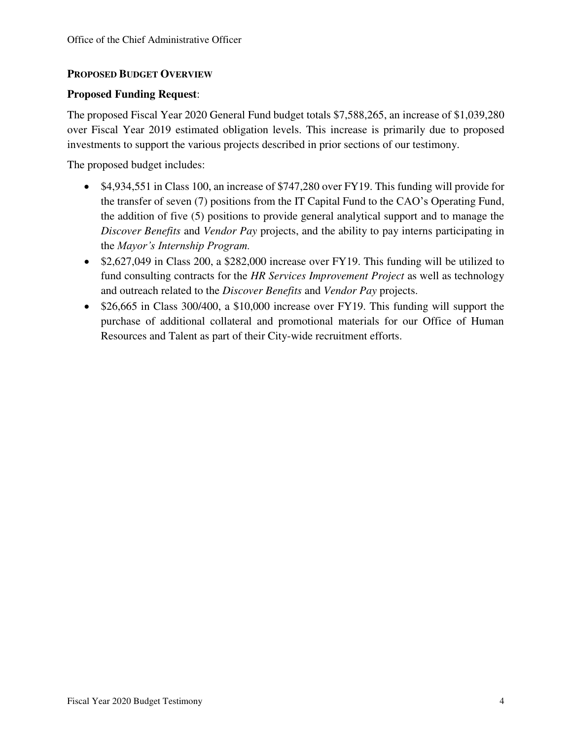## **PROPOSED BUDGET OVERVIEW**

## **Proposed Funding Request**:

The proposed Fiscal Year 2020 General Fund budget totals \$7,588,265, an increase of \$1,039,280 over Fiscal Year 2019 estimated obligation levels. This increase is primarily due to proposed investments to support the various projects described in prior sections of our testimony.

The proposed budget includes:

- \$4,934,551 in Class 100, an increase of \$747,280 over FY19. This funding will provide for the transfer of seven (7) positions from the IT Capital Fund to the CAO's Operating Fund, the addition of five (5) positions to provide general analytical support and to manage the *Discover Benefits* and *Vendor Pay* projects, and the ability to pay interns participating in the *Mayor's Internship Program.*
- \$2,627,049 in Class 200, a \$282,000 increase over FY19. This funding will be utilized to fund consulting contracts for the *HR Services Improvement Project* as well as technology and outreach related to the *Discover Benefits* and *Vendor Pay* projects.
- \$26,665 in Class 300/400, a \$10,000 increase over FY19. This funding will support the purchase of additional collateral and promotional materials for our Office of Human Resources and Talent as part of their City-wide recruitment efforts.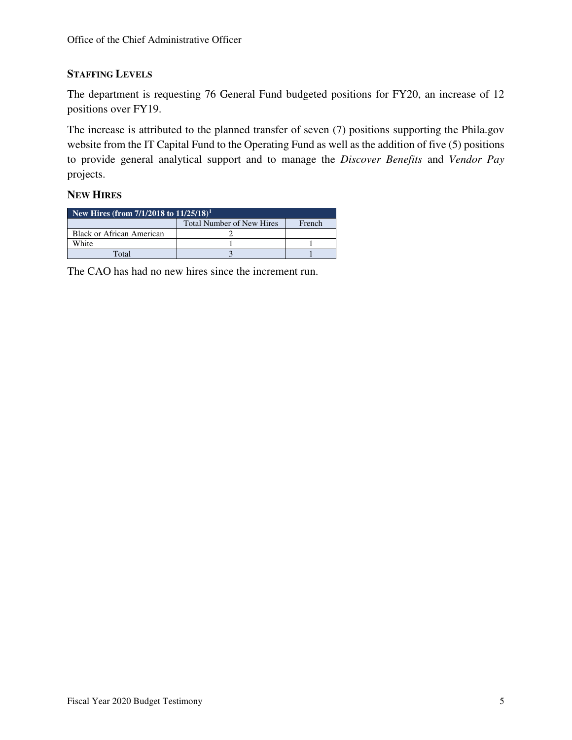## **STAFFING LEVELS**

The department is requesting 76 General Fund budgeted positions for FY20, an increase of 12 positions over FY19.

The increase is attributed to the planned transfer of seven (7) positions supporting the Phila.gov website from the IT Capital Fund to the Operating Fund as well as the addition of five (5) positions to provide general analytical support and to manage the *Discover Benefits* and *Vendor Pay* projects.

## **NEW HIRES**

| New Hires (from $7/1/2018$ to $11/25/18$ ) <sup>1</sup> |  |  |  |  |  |  |
|---------------------------------------------------------|--|--|--|--|--|--|
| <b>Total Number of New Hires</b><br>French              |  |  |  |  |  |  |
| Black or African American                               |  |  |  |  |  |  |
| White                                                   |  |  |  |  |  |  |
| $\rm Total$                                             |  |  |  |  |  |  |

The CAO has had no new hires since the increment run.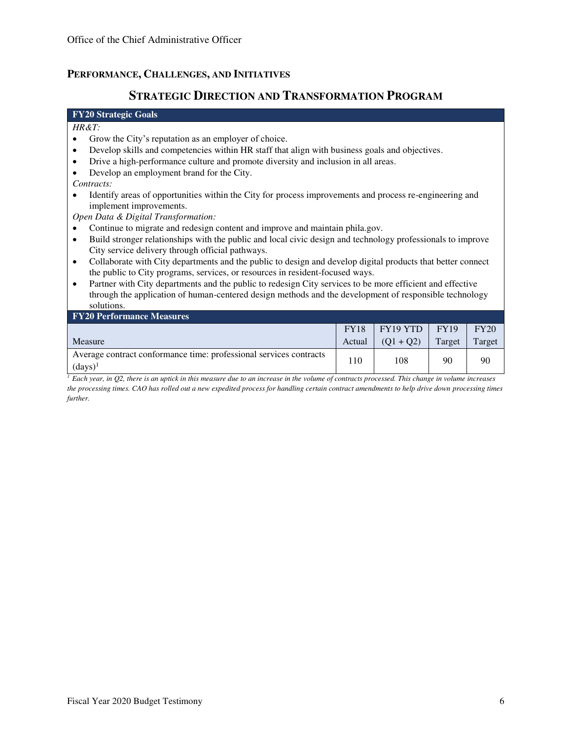## **PERFORMANCE, CHALLENGES, AND INITIATIVES**

## **STRATEGIC DIRECTION AND TRANSFORMATION PROGRAM**

### **FY20 Strategic Goals**

#### *HR&T:*

- Grow the City's reputation as an employer of choice.
- Develop skills and competencies within HR staff that align with business goals and objectives.
- Drive a high-performance culture and promote diversity and inclusion in all areas.
- Develop an employment brand for the City.

*Contracts:* 

• Identify areas of opportunities within the City for process improvements and process re-engineering and implement improvements.

*Open Data & Digital Transformation:* 

- Continue to migrate and redesign content and improve and maintain phila.gov.
- Build stronger relationships with the public and local civic design and technology professionals to improve City service delivery through official pathways.
- Collaborate with City departments and the public to design and develop digital products that better connect the public to City programs, services, or resources in resident-focused ways.
- Partner with City departments and the public to redesign City services to be more efficient and effective through the application of human-centered design methods and the development of responsible technology solutions.

| <b>FY20 Performance Measures</b>                                                 |             |             |             |        |  |  |  |  |  |
|----------------------------------------------------------------------------------|-------------|-------------|-------------|--------|--|--|--|--|--|
|                                                                                  | <b>FY18</b> | $FY19$ YTD  | <b>FY19</b> | FY20   |  |  |  |  |  |
| <b>Measure</b>                                                                   | Actual      | $(01 + 02)$ | Target      | Target |  |  |  |  |  |
| Average contract conformance time: professional services contracts<br>$(days)^1$ | 110         | 108         | 90          | 90     |  |  |  |  |  |

*<sup>1</sup> Each year, in Q2, there is an uptick in this measure due to an increase in the volume of contracts processed. This change in volume increases the processing times. CAO has rolled out a new expedited process for handling certain contract amendments to help drive down processing times further.*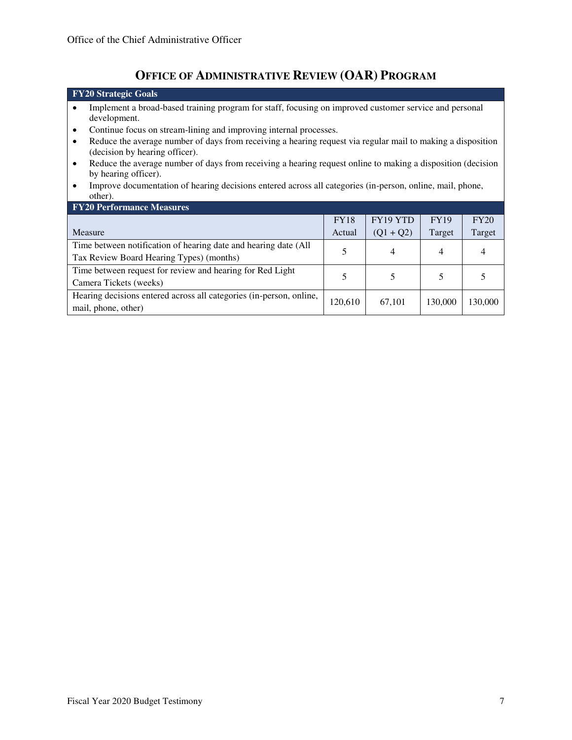# **OFFICE OF ADMINISTRATIVE REVIEW (OAR) PROGRAM**

| <b>FY20</b> Strategic Goals                                                                                                                                |             |             |             |         |  |  |  |  |
|------------------------------------------------------------------------------------------------------------------------------------------------------------|-------------|-------------|-------------|---------|--|--|--|--|
| Implement a broad-based training program for staff, focusing on improved customer service and personal<br>development.                                     |             |             |             |         |  |  |  |  |
| Continue focus on stream-lining and improving internal processes.<br>٠                                                                                     |             |             |             |         |  |  |  |  |
| Reduce the average number of days from receiving a hearing request via regular mail to making a disposition<br>$\bullet$<br>(decision by hearing officer). |             |             |             |         |  |  |  |  |
| Reduce the average number of days from receiving a hearing request online to making a disposition (decision<br>$\bullet$<br>by hearing officer).           |             |             |             |         |  |  |  |  |
| Improve documentation of hearing decisions entered across all categories (in-person, online, mail, phone,<br>$\bullet$<br>other).                          |             |             |             |         |  |  |  |  |
| <b>FY20 Performance Measures</b>                                                                                                                           |             |             |             |         |  |  |  |  |
|                                                                                                                                                            | <b>FY18</b> | FY19 YTD    | <b>FY19</b> | FY20    |  |  |  |  |
| Measure                                                                                                                                                    | Actual      | $(Q1 + Q2)$ | Target      | Target  |  |  |  |  |
| Time between notification of hearing date and hearing date (All<br>5<br>4<br>4<br>Tax Review Board Hearing Types) (months)                                 |             |             |             |         |  |  |  |  |
| Time between request for review and hearing for Red Light<br>5<br>5<br>5<br>5<br>Camera Tickets (weeks)                                                    |             |             |             |         |  |  |  |  |
| Hearing decisions entered across all categories (in-person, online,<br>mail, phone, other)                                                                 | 120,610     | 67,101      | 130,000     | 130,000 |  |  |  |  |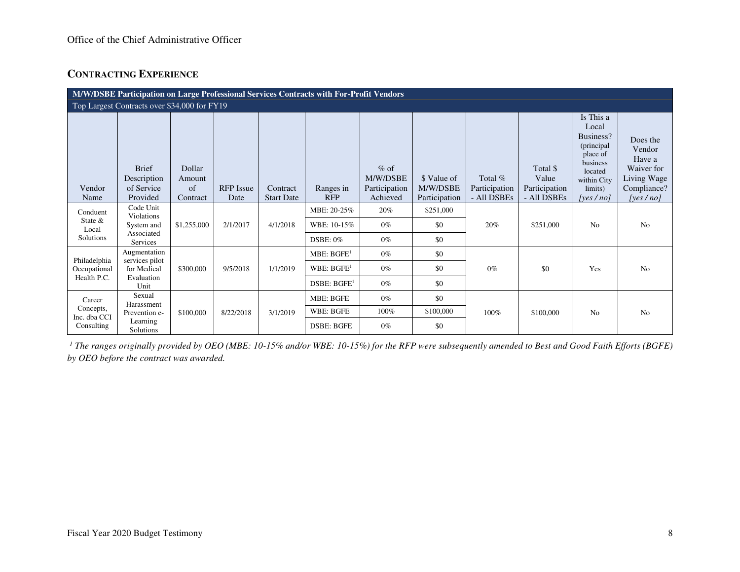## **CONTRACTING EXPERIENCE**

| M/W/DSBE Participation on Large Professional Services Contracts with For-Profit Vendors |                                                       |                                    |                          |                               |                         |                                                 |                                          |                                           |                                                   |                                                                                                                             |                                                                                          |
|-----------------------------------------------------------------------------------------|-------------------------------------------------------|------------------------------------|--------------------------|-------------------------------|-------------------------|-------------------------------------------------|------------------------------------------|-------------------------------------------|---------------------------------------------------|-----------------------------------------------------------------------------------------------------------------------------|------------------------------------------------------------------------------------------|
| Top Largest Contracts over \$34,000 for FY19                                            |                                                       |                                    |                          |                               |                         |                                                 |                                          |                                           |                                                   |                                                                                                                             |                                                                                          |
| Vendor<br>Name                                                                          | <b>Brief</b><br>Description<br>of Service<br>Provided | Dollar<br>Amount<br>of<br>Contract | <b>RFP</b> Issue<br>Date | Contract<br><b>Start Date</b> | Ranges in<br><b>RFP</b> | $%$ of<br>M/W/DSBE<br>Participation<br>Achieved | \$ Value of<br>M/W/DSBE<br>Participation | Total $%$<br>Participation<br>- All DSBEs | Total \$<br>Value<br>Participation<br>- All DSBEs | Is This a<br>Local<br>Business?<br>(principal)<br>place of<br>business<br>located<br>within City<br>limits)<br>[yes $/no$ ] | Does the<br>Vendor<br>Have a<br>Waiver for<br>Living Wage<br>Compliance?<br>[yes $/$ no] |
| Conduent                                                                                | Code Unit<br><b>Violations</b>                        |                                    |                          |                               | MBE: 20-25%             | 20%                                             | \$251,000                                |                                           |                                                   |                                                                                                                             |                                                                                          |
| State $&$<br>Local                                                                      | System and                                            | \$1,255,000                        | 2/1/2017                 | 4/1/2018                      | WBE: 10-15%             | $0\%$                                           | \$0                                      | 20%                                       | \$251,000                                         | N <sub>o</sub>                                                                                                              | N <sub>o</sub>                                                                           |
| Solutions                                                                               | Associated<br><b>Services</b>                         |                                    |                          |                               | DSBE: $0\%$             | $0\%$                                           | \$0                                      |                                           |                                                   |                                                                                                                             |                                                                                          |
| Philadelphia                                                                            | Augmentation<br>services pilot                        |                                    |                          |                               | MBE: BGFE <sup>1</sup>  | $0\%$                                           | \$0                                      |                                           |                                                   |                                                                                                                             |                                                                                          |
| Occupational                                                                            | for Medical                                           | \$300,000                          | 9/5/2018                 | 1/1/2019                      | WBE: BGFE <sup>1</sup>  | $0\%$                                           | \$0                                      | $0\%$                                     | \$0                                               | Yes                                                                                                                         | No                                                                                       |
| Health P.C.                                                                             | Evaluation<br>Unit                                    |                                    |                          |                               | DSBE: BGFE <sup>1</sup> | $0\%$                                           | \$0                                      |                                           |                                                   |                                                                                                                             |                                                                                          |
| Career                                                                                  | Sexual<br>Harassment                                  |                                    |                          |                               | <b>MBE: BGFE</b>        | $0\%$                                           | \$0                                      |                                           |                                                   |                                                                                                                             |                                                                                          |
| Concepts,<br>Inc. dba CCI                                                               | Prevention e-                                         | \$100,000                          | 8/22/2018                | 3/1/2019                      | <b>WBE: BGFE</b>        | 100%                                            | \$100,000                                | 100%                                      | \$100,000                                         | N <sub>o</sub>                                                                                                              | N <sub>o</sub>                                                                           |
| Consulting                                                                              | Learning<br>Solutions                                 |                                    |                          |                               | <b>DSBE: BGFE</b>       | $0\%$                                           | \$0                                      |                                           |                                                   |                                                                                                                             |                                                                                          |

<sup>1</sup> The ranges originally provided by OEO (MBE: 10-15% and/or WBE: 10-15%) for the RFP were subsequently amended to Best and Good Faith Efforts (BGFE) *by OEO before the contract was awarded.*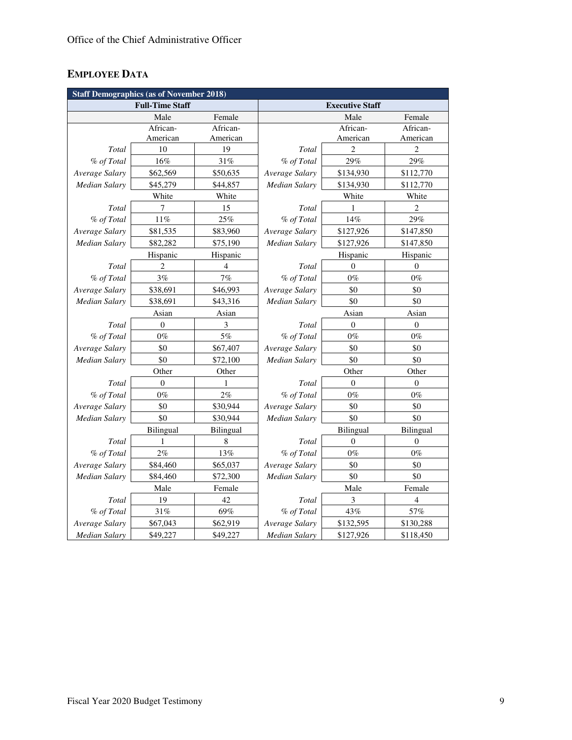# **EMPLOYEE DATA**

| <b>Staff Demographics (as of November 2018)</b> |                        |                |                        |                  |                  |  |  |  |  |
|-------------------------------------------------|------------------------|----------------|------------------------|------------------|------------------|--|--|--|--|
|                                                 | <b>Full-Time Staff</b> |                | <b>Executive Staff</b> |                  |                  |  |  |  |  |
|                                                 | Male                   | Female         |                        | Male             | Female           |  |  |  |  |
|                                                 | African-               | African-       |                        | African-         | African-         |  |  |  |  |
|                                                 | American               | American       |                        | American         | American         |  |  |  |  |
| Total                                           | 10                     | 19             | Total                  | $\overline{c}$   | $\overline{c}$   |  |  |  |  |
| % of Total                                      | 16%                    | 31%            | % of Total             | 29%              | 29%              |  |  |  |  |
| Average Salary                                  | \$62,569               | \$50,635       | Average Salary         | \$134,930        | \$112,770        |  |  |  |  |
| <b>Median Salary</b>                            | \$45,279               | \$44,857       | Median Salary          | \$134,930        | \$112,770        |  |  |  |  |
|                                                 | White                  | White          |                        | White            | White            |  |  |  |  |
| Total                                           | 7                      | 15             | Total                  | 1                | $\overline{c}$   |  |  |  |  |
| % of Total                                      | $11\%$                 | 25%            | % of Total             | $14\%$           | 29%              |  |  |  |  |
| Average Salary                                  | \$81,535               | \$83,960       | Average Salary         | \$127,926        | \$147,850        |  |  |  |  |
| <b>Median Salary</b>                            | \$82,282               | \$75,190       | Median Salary          | \$127,926        | \$147,850        |  |  |  |  |
|                                                 | Hispanic               | Hispanic       |                        | Hispanic         | Hispanic         |  |  |  |  |
| Total                                           | $\overline{2}$         | $\overline{4}$ | Total                  | $\overline{0}$   | $\mathbf{0}$     |  |  |  |  |
| % of Total                                      | 3%                     | 7%             | % of Total             | $0\%$            | $0\%$            |  |  |  |  |
| Average Salary                                  | \$38,691               | \$46,993       | Average Salary         | \$0              | \$0              |  |  |  |  |
| <b>Median Salary</b>                            | \$38,691               | \$43,316       | <b>Median Salary</b>   | \$0              | \$0              |  |  |  |  |
|                                                 | Asian                  | Asian          |                        | Asian            | Asian            |  |  |  |  |
| Total                                           | $\boldsymbol{0}$       | 3              | Total                  | $\boldsymbol{0}$ | $\boldsymbol{0}$ |  |  |  |  |
| % of Total                                      | $0\%$                  | 5%             | % of Total             | $0\%$            | $0\%$            |  |  |  |  |
| Average Salary                                  | \$0                    | \$67,407       | Average Salary         | \$0              | \$0              |  |  |  |  |
| <b>Median Salary</b>                            | \$0                    | \$72,100       | Median Salary          | \$0              | \$0              |  |  |  |  |
|                                                 | Other                  | Other          |                        | Other            | Other            |  |  |  |  |
| Total                                           | $\theta$               | 1              | Total                  | $\theta$         | $\theta$         |  |  |  |  |
| % of Total                                      | $0\%$                  | 2%             | % of Total             | $0\%$            | $0\%$            |  |  |  |  |
| Average Salary                                  | \$0                    | \$30,944       | Average Salary         | \$0              | \$0              |  |  |  |  |
| Median Salary                                   | \$0                    | \$30,944       | Median Salary          | \$0              | \$0              |  |  |  |  |
|                                                 | Bilingual              | Bilingual      |                        | Bilingual        | Bilingual        |  |  |  |  |
| Total                                           | 1                      | 8              | Total                  | $\theta$         | $\theta$         |  |  |  |  |
| % of Total                                      | $2\%$                  | 13%            | % of Total             | $0\%$            | $0\%$            |  |  |  |  |
| Average Salary                                  | \$84,460               | \$65,037       | Average Salary         | \$0              | \$0              |  |  |  |  |
| Median Salary                                   | \$84,460               | \$72,300       | Median Salary          | \$0              | \$0              |  |  |  |  |
|                                                 | Male                   | Female         |                        | Male             | Female           |  |  |  |  |
| Total                                           | 19                     | 42             | Total                  | 3                | 4                |  |  |  |  |
| % of Total                                      | $31\%$                 | 69%            | % of Total             | 43%              | 57%              |  |  |  |  |
| Average Salary                                  | \$67,043               | \$62,919       | Average Salary         | \$132,595        | \$130,288        |  |  |  |  |
| <b>Median Salary</b>                            | \$49,227               | \$49,227       | <b>Median Salary</b>   | \$127,926        | \$118,450        |  |  |  |  |